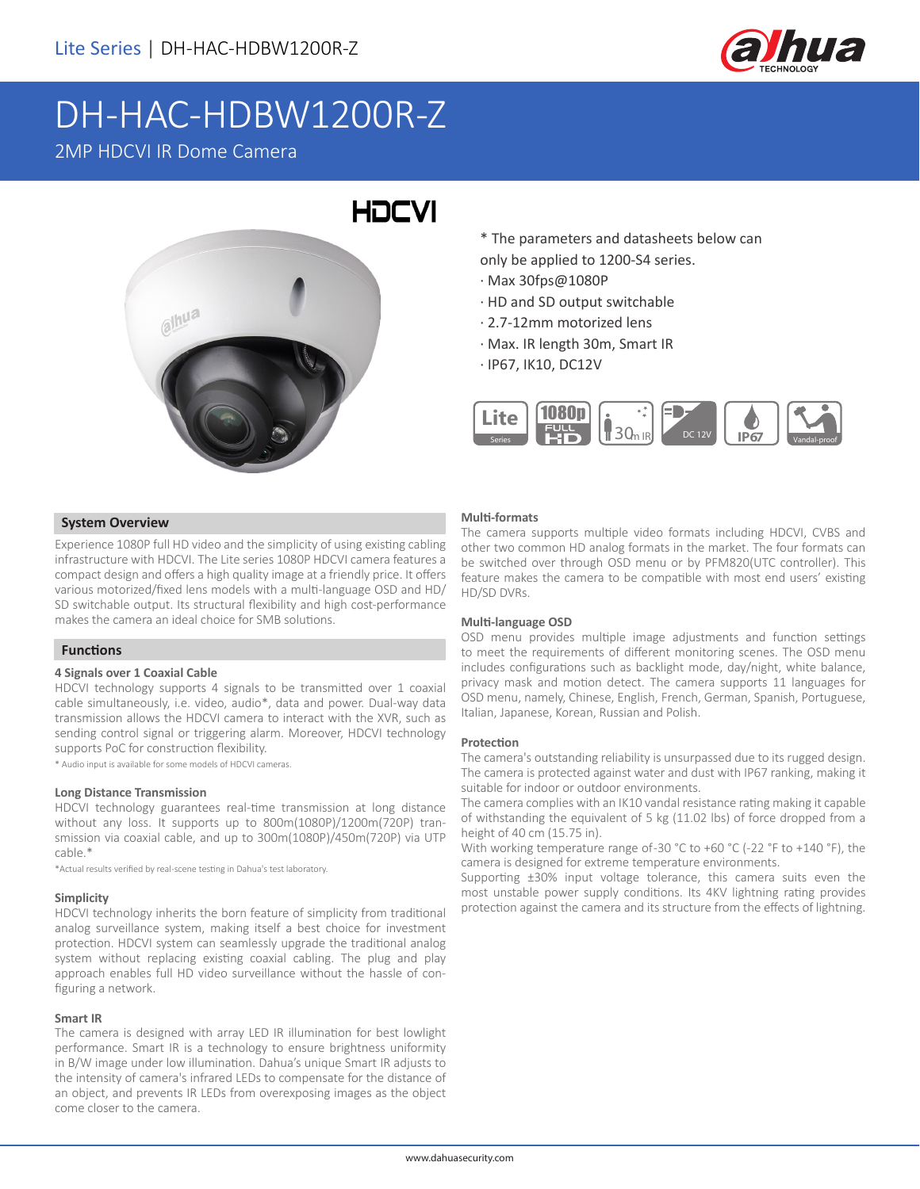

# DH-HAC-HDBW1200R-Z

### 2MP HDCVI IR Dome Camera



\* The parameters and datasheets below can only be applied to 1200-S4 series.

- · Max 30fps@1080P
- · HD and SD output switchable
- · 2.7-12mm motorized lens
- · Max. IR length 30m, Smart IR
- · IP67, IK10, DC12V



#### **System Overview**

Experience 1080P full HD video and the simplicity of using existing cabling infrastructure with HDCVI. The Lite series 1080P HDCVI camera features a compact design and offers a high quality image at a friendly price. It offers various motorized/fixed lens models with a multi-language OSD and HD/ SD switchable output. Its structural flexibility and high cost-performance makes the camera an ideal choice for SMB solutions.

#### **Functions**

#### **4 Signals over 1 Coaxial Cable**

HDCVI technology supports 4 signals to be transmitted over 1 coaxial cable simultaneously, i.e. video, audio\*, data and power. Dual-way data transmission allows the HDCVI camera to interact with the XVR, such as sending control signal or triggering alarm. Moreover, HDCVI technology supports PoC for construction flexibility.

\* Audio input is available for some models of HDCVI cameras.

#### **Long Distance Transmission**

HDCVI technology guarantees real-time transmission at long distance without any loss. It supports up to 800m(1080P)/1200m(720P) transmission via coaxial cable, and up to 300m(1080P)/450m(720P) via UTP cable.\*

\*Actual results verified by real-scene testing in Dahua's test laboratory.

#### **Simplicity**

HDCVI technology inherits the born feature of simplicity from traditional analog surveillance system, making itself a best choice for investment protection. HDCVI system can seamlessly upgrade the traditional analog system without replacing existing coaxial cabling. The plug and play approach enables full HD video surveillance without the hassle of configuring a network.

#### **Smart IR**

The camera is designed with array LED IR illumination for best lowlight performance. Smart IR is a technology to ensure brightness uniformity in B/W image under low illumination. Dahua's unique Smart IR adjusts to the intensity of camera's infrared LEDs to compensate for the distance of an object, and prevents IR LEDs from overexposing images as the object come closer to the camera.

#### **Multi-formats**

The camera supports multiple video formats including HDCVI, CVBS and other two common HD analog formats in the market. The four formats can be switched over through OSD menu or by PFM820(UTC controller). This feature makes the camera to be compatible with most end users' existing HD/SD DVRs.

#### **Multi-language OSD**

OSD menu provides multiple image adjustments and function settings to meet the requirements of different monitoring scenes. The OSD menu includes configurations such as backlight mode, day/night, white balance, privacy mask and motion detect. The camera supports 11 languages for OSD menu, namely, Chinese, English, French, German, Spanish, Portuguese, Italian, Japanese, Korean, Russian and Polish.

#### **Protection**

The camera's outstanding reliability is unsurpassed due to its rugged design. The camera is protected against water and dust with IP67 ranking, making it suitable for indoor or outdoor environments.

The camera complies with an IK10 vandal resistance rating making it capable of withstanding the equivalent of 5 kg (11.02 lbs) of force dropped from a height of 40 cm (15.75 in).

With working temperature range of-30 °C to +60 °C (-22 °F to +140 °F), the camera is designed for extreme temperature environments.

Supporting ±30% input voltage tolerance, this camera suits even the most unstable power supply conditions. Its 4KV lightning rating provides protection against the camera and its structure from the effects of lightning.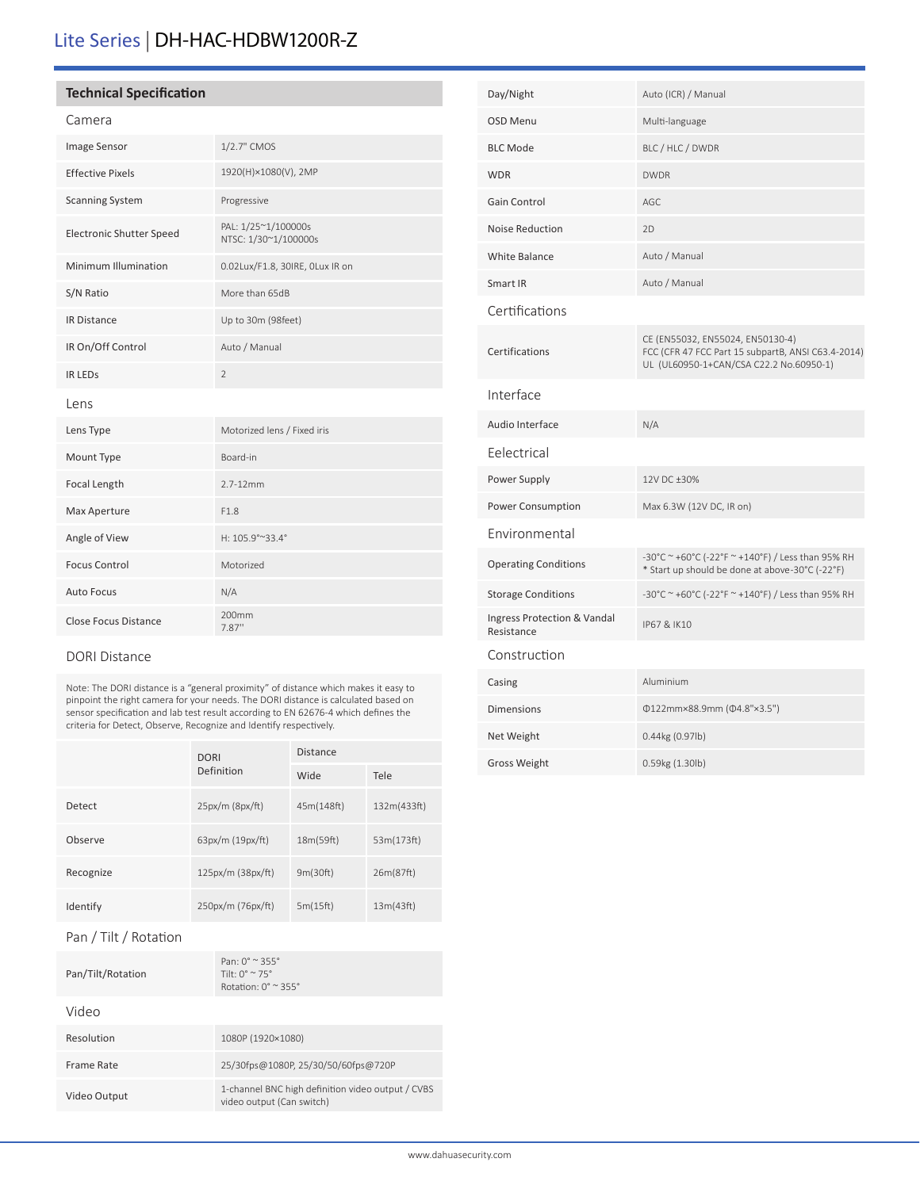# Lite Series | DH-HAC-HDBW1200R-Z

#### **Technical Specification**

| ٠<br>r |  |
|--------|--|
|--------|--|

| Image Sensor                    | 1/2.7" CMOS                                 |
|---------------------------------|---------------------------------------------|
| <b>Effective Pixels</b>         | 1920(H)×1080(V), 2MP                        |
| <b>Scanning System</b>          | Progressive                                 |
| <b>Electronic Shutter Speed</b> | PAL: 1/25~1/100000s<br>NTSC: 1/30~1/100000s |
| Minimum Illumination            | 0.02Lux/F1.8, 30IRE, OLux IR on             |
| S/N Ratio                       | More than 65dB                              |
| <b>IR Distance</b>              | Up to 30m (98feet)                          |
| IR On/Off Control               | Auto / Manual                               |
| <b>IR LEDS</b>                  | 2                                           |
| Lens                            |                                             |
| Lens Type                       | Motorized lens / Fixed iris                 |
| Mount Type                      | Board-in                                    |
| Focal Length                    | $2.7 - 12$ mm                               |
| Max Aperture                    | F1.8                                        |
| Angle of View                   | H: 105.9°~33.4°                             |
| <b>Focus Control</b>            | Motorized                                   |
| <b>Auto Focus</b>               | N/A                                         |
| <b>Close Focus Distance</b>     | 200mm<br>7.87"                              |

#### DORI Distance

Note: The DORI distance is a "general proximity" of distance which makes it easy to pinpoint the right camera for your needs. The DORI distance is calculated based on sensor specification and lab test result according to EN 62676-4 which defines the criteria for Detect, Observe, Recognize and Identify respectively.

|           | <b>DORI</b><br>Definition | <b>Distance</b> |             |
|-----------|---------------------------|-----------------|-------------|
|           |                           | Wide            | Tele        |
| Detect    | 25px/m (8px/ft)           | 45m(148ft)      | 132m(433ft) |
| Observe   | 63px/m (19px/ft)          | 18m(59ft)       | 53m(173ft)  |
| Recognize | 125px/m (38px/ft)         | 9m(30ft)        | 26m(87ft)   |
| Identify  | 250px/m (76px/ft)         | 5m(15ft)        | 13m(43ft)   |

#### Pan / Tilt / Rotation

| Pan/Tilt/Rotation | $Pan: 0^{\circ} \approx 355^{\circ}$<br>Tilt $\cdot$ 0° $\sim$ 75°<br>Rotation: $0^\circ \approx 355^\circ$ |
|-------------------|-------------------------------------------------------------------------------------------------------------|
| Video             |                                                                                                             |
| Resolution        | 1080P (1920×1080)                                                                                           |
| Frame Rate        | 25/30fps@1080P, 25/30/50/60fps@720P                                                                         |
| Video Output      | 1-channel BNC high definition video output / CVBS<br>video output (Can switch)                              |
|                   |                                                                                                             |

| Day/Night                                 | Auto (ICR) / Manual                                                                                                               |
|-------------------------------------------|-----------------------------------------------------------------------------------------------------------------------------------|
| <b>OSD Menu</b>                           | Multi-language                                                                                                                    |
| <b>BLC Mode</b>                           | BLC / HLC / DWDR                                                                                                                  |
| <b>WDR</b>                                | <b>DWDR</b>                                                                                                                       |
| Gain Control                              | AGC                                                                                                                               |
| <b>Noise Reduction</b>                    | 2D                                                                                                                                |
| White Balance                             | Auto / Manual                                                                                                                     |
| Smart IR                                  | Auto / Manual                                                                                                                     |
| Certifications                            |                                                                                                                                   |
| Certifications                            | CE (EN55032, EN55024, EN50130-4)<br>FCC (CFR 47 FCC Part 15 subpartB, ANSI C63.4-2014)<br>UL (UL60950-1+CAN/CSA C22.2 No.60950-1) |
| Interface                                 |                                                                                                                                   |
| Audio Interface                           | N/A                                                                                                                               |
| Eelectrical                               |                                                                                                                                   |
| Power Supply                              | 12V DC ±30%                                                                                                                       |
| Power Consumption                         | Max 6.3W (12V DC, IR on)                                                                                                          |
| Environmental                             |                                                                                                                                   |
| <b>Operating Conditions</b>               | -30°C ~ +60°C (-22°F ~ +140°F) / Less than 95% RH<br>* Start up should be done at above-30°C (-22°F)                              |
| <b>Storage Conditions</b>                 | -30°C ~ +60°C (-22°F ~ +140°F) / Less than 95% RH                                                                                 |
| Ingress Protection & Vandal<br>Resistance | IP67 & IK10                                                                                                                       |
| Construction                              |                                                                                                                                   |
| Casing                                    | Aluminium                                                                                                                         |
| <b>Dimensions</b>                         | Φ122mm×88.9mm (Φ4.8"×3.5")                                                                                                        |
| Net Weight                                | 0.44kg (0.97lb)                                                                                                                   |
| <b>Gross Weight</b>                       | 0.59kg (1.30lb)                                                                                                                   |